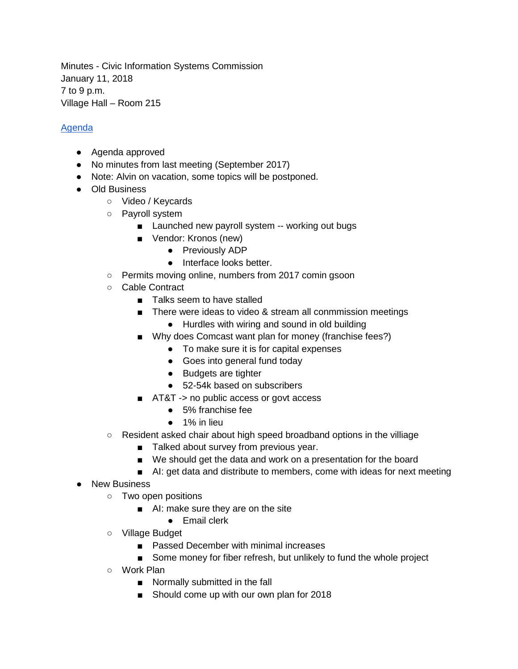Minutes - Civic Information Systems Commission January 11, 2018 7 to 9 p.m. Village Hall – Room 215

## [Agenda](http://www.oak-park.us/sites/default/files/meeting-resources/2018-01-11-cisc-agenda.pdf)

- Agenda approved
- No minutes from last meeting (September 2017)
- Note: Alvin on vacation, some topics will be postponed.
- Old Business
	- Video / Keycards
	- Payroll system
		- Launched new payroll system -- working out bugs
		- Vendor: Kronos (new)
			- Previously ADP
			- Interface looks better.
	- Permits moving online, numbers from 2017 comin gsoon
	- Cable Contract
		- Talks seem to have stalled
		- There were ideas to video & stream all conmmission meetings
			- Hurdles with wiring and sound in old building
		- Why does Comcast want plan for money (franchise fees?)
			- To make sure it is for capital expenses
			- Goes into general fund today
			- Budgets are tighter
			- 52-54k based on subscribers
		- AT&T -> no public access or govt access
			- 5% franchise fee
			- 1% in lieu
	- Resident asked chair about high speed broadband options in the villiage
		- Talked about survey from previous year.
		- We should get the data and work on a presentation for the board
		- AI: get data and distribute to members, come with ideas for next meeting
- New Business
	- Two open positions
		- AI: make sure they are on the site
			- Email clerk
	- Village Budget
		- Passed December with minimal increases
		- Some money for fiber refresh, but unlikely to fund the whole project
	- Work Plan
		- Normally submitted in the fall
		- Should come up with our own plan for 2018